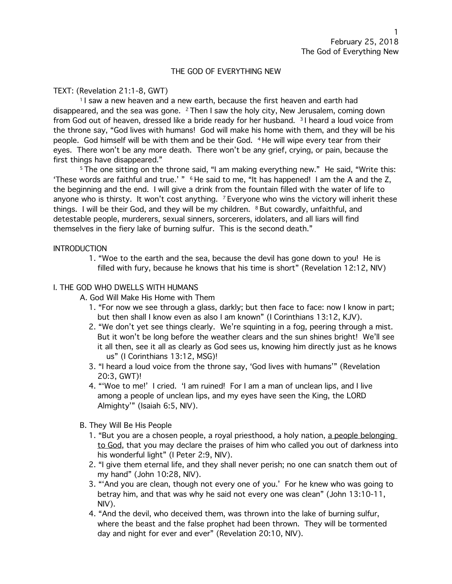### THE GOD OF EVERYTHING NEW

## TEXT: (Revelation 21:1-8, GWT)

<sup>1</sup> I saw a new heaven and a new earth, because the first heaven and earth had disappeared, and the sea was gone. 2 Then I saw the holy city, New Jerusalem, coming down from God out of heaven, dressed like a bride ready for her husband. 3 I heard a loud voice from the throne say, "God lives with humans! God will make his home with them, and they will be his people. God himself will be with them and be their God. 4 He will wipe every tear from their eyes. There won't be any more death. There won't be any grief, crying, or pain, because the first things have disappeared."

<sup>5</sup> The one sitting on the throne said, "I am making everything new." He said, "Write this: 'These words are faithful and true.' " <sup>6</sup> He said to me, "It has happened! I am the A and the Z, the beginning and the end. I will give a drink from the fountain filled with the water of life to anyone who is thirsty. It won't cost anything.  $7$  Everyone who wins the victory will inherit these things. I will be their God, and they will be my children.  $8$  But cowardly, unfaithful, and detestable people, murderers, sexual sinners, sorcerers, idolaters, and all liars will find themselves in the fiery lake of burning sulfur. This is the second death."

### **INTRODUCTION**

1. "Woe to the earth and the sea, because the devil has gone down to you! He is filled with fury, because he knows that his time is short" (Revelation 12:12, NIV)

## I. THE GOD WHO DWELLS WITH HUMANS

- A. God Will Make His Home with Them
	- 1. "For now we see through a glass, darkly; but then face to face: now I know in part; but then shall I know even as also I am known" (I Corinthians 13:12, KJV).
	- 2. "We don't yet see things clearly. We're squinting in a fog, peering through a mist. But it won't be long before the weather clears and the sun shines bright! We'll see it all then, see it all as clearly as God sees us, knowing him directly just as he knows us" (I Corinthians 13:12, MSG)!
	- 3. "I heard a loud voice from the throne say, 'God lives with humans'" (Revelation 20:3, GWT)!
	- 4. "'Woe to me!' I cried. 'I am ruined! For I am a man of unclean lips, and I live among a people of unclean lips, and my eyes have seen the King, the LORD Almighty'" (Isaiah 6:5, NIV).
- B. They Will Be His People
	- 1. "But you are a chosen people, a royal priesthood, a holy nation, a people belonging to God, that you may declare the praises of him who called you out of darkness into his wonderful light" (I Peter 2:9, NIV).
	- 2. "I give them eternal life, and they shall never perish; no one can snatch them out of my hand" (John 10:28, NIV).
	- 3. "'And you are clean, though not every one of you.' For he knew who was going to betray him, and that was why he said not every one was clean" (John 13:10-11, NIV).
	- 4. "And the devil, who deceived them, was thrown into the lake of burning sulfur, where the beast and the false prophet had been thrown. They will be tormented day and night for ever and ever" (Revelation 20:10, NIV).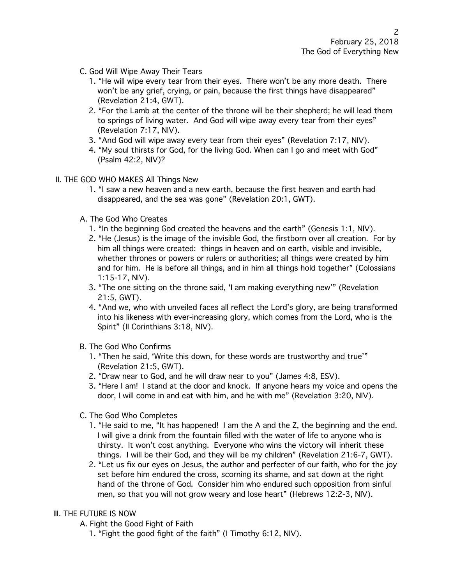- C. God Will Wipe Away Their Tears
	- 1. "He will wipe every tear from their eyes. There won't be any more death. There won't be any grief, crying, or pain, because the first things have disappeared" (Revelation 21:4, GWT).
	- 2. "For the Lamb at the center of the throne will be their shepherd; he will lead them to springs of living water. And God will wipe away every tear from their eyes" (Revelation 7:17, NIV).
	- 3. "And God will wipe away every tear from their eyes" (Revelation 7:17, NIV).
	- 4. "My soul thirsts for God, for the living God. When can I go and meet with God" (Psalm 42:2, NIV)?
- II. THE GOD WHO MAKES All Things New
	- 1. "I saw a new heaven and a new earth, because the first heaven and earth had disappeared, and the sea was gone" (Revelation 20:1, GWT).
	- A. The God Who Creates
		- 1. "In the beginning God created the heavens and the earth" (Genesis 1:1, NIV).
		- 2. "He (Jesus) is the image of the invisible God, the firstborn over all creation. For by him all things were created: things in heaven and on earth, visible and invisible, whether thrones or powers or rulers or authorities; all things were created by him and for him. He is before all things, and in him all things hold together" (Colossians 1:15-17, NIV).
		- 3. "The one sitting on the throne said, 'I am making everything new'" (Revelation 21:5, GWT).
		- 4. "And we, who with unveiled faces all reflect the Lord's glory, are being transformed into his likeness with ever-increasing glory, which comes from the Lord, who is the Spirit" (II Corinthians 3:18, NIV).
	- B. The God Who Confirms
		- 1. "Then he said, 'Write this down, for these words are trustworthy and true'" (Revelation 21:5, GWT).
		- 2. "Draw near to God, and he will draw near to you" (James 4:8, ESV).
		- 3. "Here I am! I stand at the door and knock. If anyone hears my voice and opens the door, I will come in and eat with him, and he with me" (Revelation 3:20, NIV).
	- C. The God Who Completes
		- 1. "He said to me, "It has happened! I am the A and the Z, the beginning and the end. I will give a drink from the fountain filled with the water of life to anyone who is thirsty. It won't cost anything. Everyone who wins the victory will inherit these things. I will be their God, and they will be my children" (Revelation 21:6-7, GWT).
		- 2. "Let us fix our eyes on Jesus, the author and perfecter of our faith, who for the joy set before him endured the cross, scorning its shame, and sat down at the right hand of the throne of God. Consider him who endured such opposition from sinful men, so that you will not grow weary and lose heart" (Hebrews 12:2-3, NIV).

# III. THE FUTURE IS NOW

A. Fight the Good Fight of Faith

1. "Fight the good fight of the faith" (I Timothy 6:12, NIV).